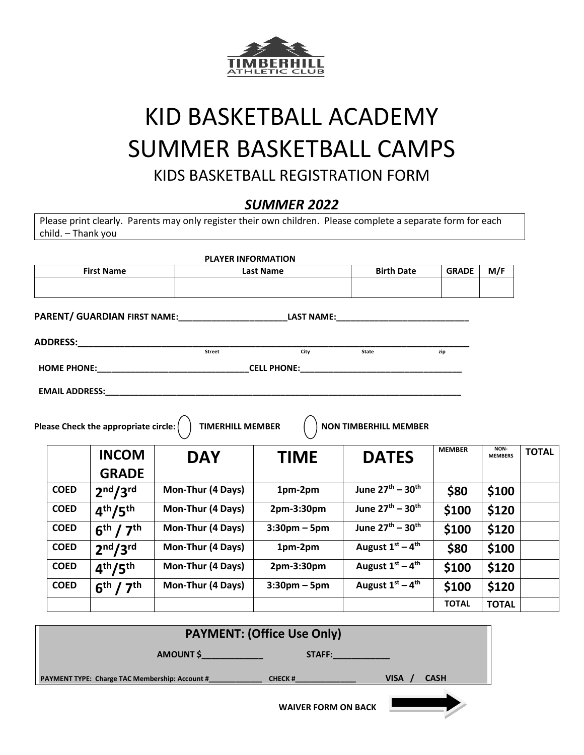

## KID BASKETBALL ACADEMY SUMMER BASKETBALL CAMPS KIDS BASKETBALL REGISTRATION FORM

## *SUMMER 2022*

Please print clearly. Parents may only register their own children. Please complete a separate form for each child. – Thank you

|                       |                                                                                                                                                                                                                                | <b>PLAYER INFORMATION</b>           |                 |                                                                                                                |               |                        |              |
|-----------------------|--------------------------------------------------------------------------------------------------------------------------------------------------------------------------------------------------------------------------------|-------------------------------------|-----------------|----------------------------------------------------------------------------------------------------------------|---------------|------------------------|--------------|
| <b>First Name</b>     |                                                                                                                                                                                                                                | <b>Last Name</b>                    |                 | <b>Birth Date</b>                                                                                              | <b>GRADE</b>  | M/F                    |              |
|                       |                                                                                                                                                                                                                                |                                     |                 |                                                                                                                |               |                        |              |
|                       |                                                                                                                                                                                                                                | PARENT/ GUARDIAN FIRST NAME:        |                 | LAST NAME: the contract of the contract of the contract of the contract of the contract of the contract of the |               |                        |              |
|                       | ADDRESS: And the state of the state of the state of the state of the state of the state of the state of the state of the state of the state of the state of the state of the state of the state of the state of the state of t |                                     |                 |                                                                                                                |               |                        |              |
|                       |                                                                                                                                                                                                                                | Street                              | City            | State                                                                                                          | zip           |                        |              |
|                       |                                                                                                                                                                                                                                | HOME PHONE: CELL PHONE: CELL PHONE: |                 |                                                                                                                |               |                        |              |
| <b>EMAIL ADDRESS:</b> |                                                                                                                                                                                                                                |                                     |                 |                                                                                                                |               |                        |              |
|                       |                                                                                                                                                                                                                                |                                     |                 |                                                                                                                |               |                        |              |
|                       | Please Check the appropriate circle: $($                                                                                                                                                                                       | <b>TIMERHILL MEMBER</b>             |                 | <b>NON TIMBERHILL MEMBER</b>                                                                                   |               |                        |              |
|                       | <b>INCOM</b>                                                                                                                                                                                                                   |                                     |                 |                                                                                                                |               |                        |              |
|                       |                                                                                                                                                                                                                                | <b>DAY</b>                          | <b>TIME</b>     | <b>DATES</b>                                                                                                   | <b>MEMBER</b> | NON-<br><b>MEMBERS</b> | <b>TOTAL</b> |
|                       | <b>GRADE</b>                                                                                                                                                                                                                   |                                     |                 |                                                                                                                |               |                        |              |
| <b>COED</b>           | 2 <sup>nd</sup> /3 <sup>rd</sup>                                                                                                                                                                                               | Mon-Thur (4 Days)                   | 1pm-2pm         | June 27th - 30th                                                                                               | \$80          | \$100                  |              |
| <b>COED</b>           | 4 <sup>th</sup> /5 <sup>th</sup>                                                                                                                                                                                               | Mon-Thur (4 Days)                   | 2pm-3:30pm      | June $27^{th} - 30^{th}$                                                                                       | \$100         | \$120                  |              |
| <b>COED</b>           | 6 <sup>th</sup> / 7 <sup>th</sup>                                                                                                                                                                                              | Mon-Thur (4 Days)                   | $3:30$ pm – 5pm | June 27 <sup>th</sup> - 30 <sup>th</sup>                                                                       | \$100         | \$120                  |              |
| <b>COED</b>           | 2 <sup>nd</sup> /3 <sup>rd</sup>                                                                                                                                                                                               | Mon-Thur (4 Days)                   | 1pm-2pm         | August $1^{st} - 4^{th}$                                                                                       | \$80          | \$100                  |              |
| <b>COED</b>           | 4 <sup>th</sup> /5 <sup>th</sup>                                                                                                                                                                                               | Mon-Thur (4 Days)                   | 2pm-3:30pm      | August $1^{st} - 4^{th}$                                                                                       | \$100         | \$120                  |              |
| <b>COED</b>           | 6 <sup>th</sup> / 7 <sup>th</sup>                                                                                                                                                                                              | Mon-Thur (4 Days)                   | $3:30$ pm – 5pm | August $1^{st} - 4^{th}$                                                                                       | \$100         | \$120                  |              |



 **WAIVER FORM ON BACK**